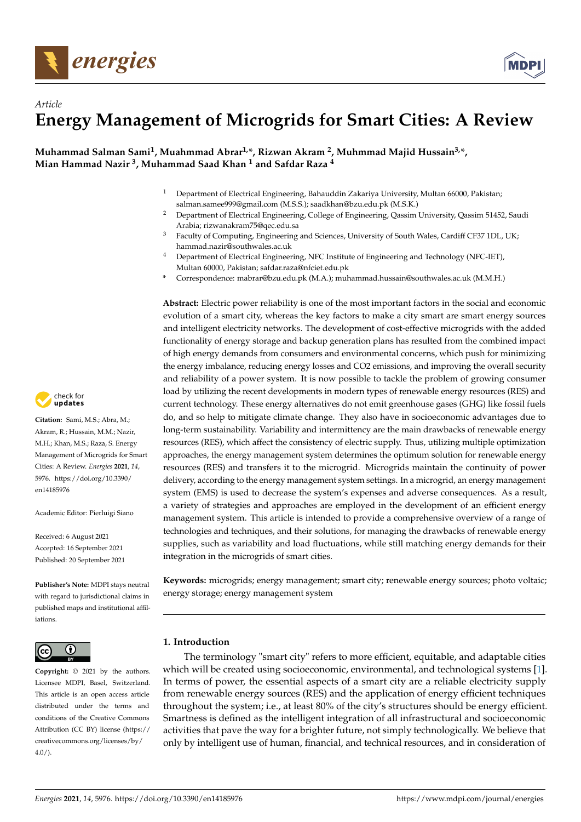

# *Article* **Energy Management of Microgrids for Smart Cities: A Review**

**Muhammad Salman Sami<sup>1</sup> , Muahmmad Abrar1,\*, Rizwan Akram <sup>2</sup> , Muhmmad Majid Hussain3,\*, Mian Hammad Nazir <sup>3</sup> , Muhammad Saad Khan <sup>1</sup> and Safdar Raza <sup>4</sup>**

- <sup>1</sup> Department of Electrical Engineering, Bahauddin Zakariya University, Multan 66000, Pakistan; salman.samee999@gmail.com (M.S.S.); saadkhan@bzu.edu.pk (M.S.K.)
- <sup>2</sup> Department of Electrical Engineering, College of Engineering, Qassim University, Qassim 51452, Saudi Arabia; rizwanakram75@qec.edu.sa
- <sup>3</sup> Faculty of Computing, Engineering and Sciences, University of South Wales, Cardiff CF37 1DL, UK; hammad.nazir@southwales.ac.uk
- <sup>4</sup> Department of Electrical Engineering, NFC Institute of Engineering and Technology (NFC-IET), Multan 60000, Pakistan; safdar.raza@nfciet.edu.pk
- **\*** Correspondence: mabrar@bzu.edu.pk (M.A.); muhammad.hussain@southwales.ac.uk (M.M.H.)

**Abstract:** Electric power reliability is one of the most important factors in the social and economic evolution of a smart city, whereas the key factors to make a city smart are smart energy sources and intelligent electricity networks. The development of cost-effective microgrids with the added functionality of energy storage and backup generation plans has resulted from the combined impact of high energy demands from consumers and environmental concerns, which push for minimizing the energy imbalance, reducing energy losses and CO2 emissions, and improving the overall security and reliability of a power system. It is now possible to tackle the problem of growing consumer load by utilizing the recent developments in modern types of renewable energy resources (RES) and current technology. These energy alternatives do not emit greenhouse gases (GHG) like fossil fuels do, and so help to mitigate climate change. They also have in socioeconomic advantages due to long-term sustainability. Variability and intermittency are the main drawbacks of renewable energy resources (RES), which affect the consistency of electric supply. Thus, utilizing multiple optimization approaches, the energy management system determines the optimum solution for renewable energy resources (RES) and transfers it to the microgrid. Microgrids maintain the continuity of power delivery, according to the energy management system settings. In a microgrid, an energy management system (EMS) is used to decrease the system's expenses and adverse consequences. As a result, a variety of strategies and approaches are employed in the development of an efficient energy management system. This article is intended to provide a comprehensive overview of a range of technologies and techniques, and their solutions, for managing the drawbacks of renewable energy supplies, such as variability and load fluctuations, while still matching energy demands for their integration in the microgrids of smart cities.

**Keywords:** microgrids; energy management; smart city; renewable energy sources; photo voltaic; energy storage; energy management system

## **1. Introduction**

The terminology "smart city" refers to more efficient, equitable, and adaptable cities which will be created using socioeconomic, environmental, and technological systems [\[1\]](#page-13-0). In terms of power, the essential aspects of a smart city are a reliable electricity supply from renewable energy sources (RES) and the application of energy efficient techniques throughout the system; i.e., at least 80% of the city's structures should be energy efficient. Smartness is defined as the intelligent integration of all infrastructural and socioeconomic activities that pave the way for a brighter future, not simply technologically. We believe that only by intelligent use of human, financial, and technical resources, and in consideration of



**Citation:** Sami, M.S.; Abra, M.; Akram, R.; Hussain, M.M.; Nazir, M.H.; Khan, M.S.; Raza, S. Energy Management of Microgrids for Smart Cities: A Review. *Energies* **2021**, *14*, 5976. [https://doi.org/10.3390/](https://doi.org/10.3390/en14185976) [en14185976](https://doi.org/10.3390/en14185976)

Academic Editor: Pierluigi Siano

Received: 6 August 2021 Accepted: 16 September 2021 Published: 20 September 2021

**Publisher's Note:** MDPI stays neutral with regard to jurisdictional claims in published maps and institutional affiliations.



**Copyright:** © 2021 by the authors. Licensee MDPI, Basel, Switzerland. This article is an open access article distributed under the terms and conditions of the Creative Commons Attribution (CC BY) license (https:/[/](https://creativecommons.org/licenses/by/4.0/) [creativecommons.org/licenses/by/](https://creativecommons.org/licenses/by/4.0/)  $4.0/$ ).

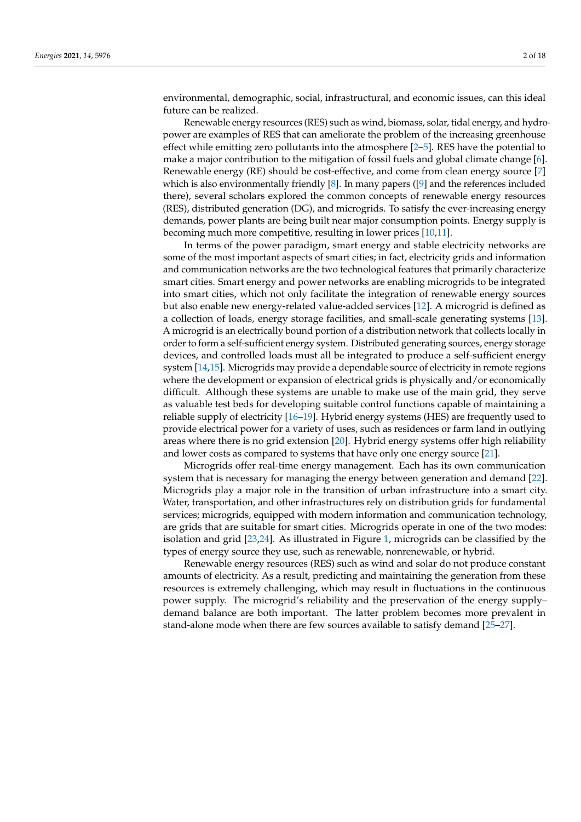environmental, demographic, social, infrastructural, and economic issues, can this ideal future can be realized.

Renewable energy resources (RES) such as wind, biomass, solar, tidal energy, and hydropower are examples of RES that can ameliorate the problem of the increasing greenhouse effect while emitting zero pollutants into the atmosphere [\[2–](#page-13-1)[5\]](#page-13-2). RES have the potential to make a major contribution to the mitigation of fossil fuels and global climate change [\[6\]](#page-13-3). Renewable energy (RE) should be cost-effective, and come from clean energy source [\[7\]](#page-13-4) which is also environmentally friendly [\[8\]](#page-13-5). In many papers ([\[9\]](#page-13-6) and the references included there), several scholars explored the common concepts of renewable energy resources (RES), distributed generation (DG), and microgrids. To satisfy the ever-increasing energy demands, power plants are being built near major consumption points. Energy supply is becoming much more competitive, resulting in lower prices [\[10](#page-13-7)[,11\]](#page-13-8).

In terms of the power paradigm, smart energy and stable electricity networks are some of the most important aspects of smart cities; in fact, electricity grids and information and communication networks are the two technological features that primarily characterize smart cities. Smart energy and power networks are enabling microgrids to be integrated into smart cities, which not only facilitate the integration of renewable energy sources but also enable new energy-related value-added services [\[12\]](#page-13-9). A microgrid is defined as a collection of loads, energy storage facilities, and small-scale generating systems [\[13\]](#page-13-10). A microgrid is an electrically bound portion of a distribution network that collects locally in order to form a self-sufficient energy system. Distributed generating sources, energy storage devices, and controlled loads must all be integrated to produce a self-sufficient energy system [\[14,](#page-13-11)[15\]](#page-13-12). Microgrids may provide a dependable source of electricity in remote regions where the development or expansion of electrical grids is physically and/or economically difficult. Although these systems are unable to make use of the main grid, they serve as valuable test beds for developing suitable control functions capable of maintaining a reliable supply of electricity [\[16](#page-13-13)[–19\]](#page-14-0). Hybrid energy systems (HES) are frequently used to provide electrical power for a variety of uses, such as residences or farm land in outlying areas where there is no grid extension [\[20\]](#page-14-1). Hybrid energy systems offer high reliability and lower costs as compared to systems that have only one energy source [\[21\]](#page-14-2).

Microgrids offer real-time energy management. Each has its own communication system that is necessary for managing the energy between generation and demand [\[22\]](#page-14-3). Microgrids play a major role in the transition of urban infrastructure into a smart city. Water, transportation, and other infrastructures rely on distribution grids for fundamental services; microgrids, equipped with modern information and communication technology, are grids that are suitable for smart cities. Microgrids operate in one of the two modes: isolation and grid [\[23,](#page-14-4)[24\]](#page-14-5). As illustrated in Figure [1,](#page-2-0) microgrids can be classified by the types of energy source they use, such as renewable, nonrenewable, or hybrid.

Renewable energy resources (RES) such as wind and solar do not produce constant amounts of electricity. As a result, predicting and maintaining the generation from these resources is extremely challenging, which may result in fluctuations in the continuous power supply. The microgrid's reliability and the preservation of the energy supply– demand balance are both important. The latter problem becomes more prevalent in stand-alone mode when there are few sources available to satisfy demand [\[25–](#page-14-6)[27\]](#page-14-7).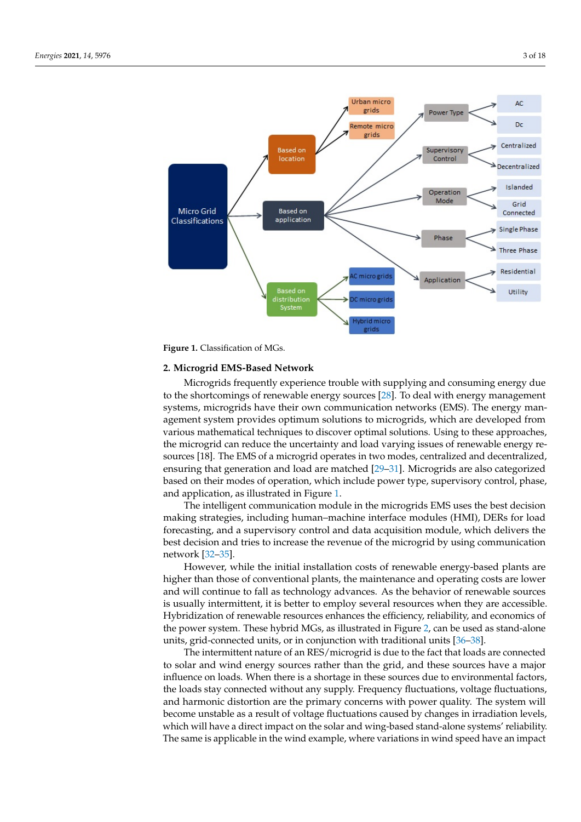<span id="page-2-0"></span>

**Figure 1.** Classification of MGs.

#### **2. Microgrid EMS-Based Network**

Microgrids frequently experience trouble with supplying and consuming energy due to the shortcomings of renewable energy sources [\[28\]](#page-14-8). To deal with energy management systems, microgrids have their own communication networks (EMS). The energy management system provides optimum solutions to microgrids, which are developed from various mathematical techniques to discover optimal solutions. Using to these approaches, the microgrid can reduce the uncertainty and load varying issues of renewable energy resources [18]. The EMS of a microgrid operates in two modes, centralized and decentralized, ensuring that generation and load are matched [\[29–](#page-14-9)[31\]](#page-14-10). Microgrids are also categorized based on their modes of operation, which include power type, supervisory control, phase, and application, as illustrated in Figure [1.](#page-2-0)

The intelligent communication module in the microgrids EMS uses the best decision making strategies, including human–machine interface modules (HMI), DERs for load forecasting, and a supervisory control and data acquisition module, which delivers the best decision and tries to increase the revenue of the microgrid by using communication network [\[32](#page-14-11)[–35\]](#page-14-12).

However, while the initial installation costs of renewable energy-based plants are higher than those of conventional plants, the maintenance and operating costs are lower and will continue to fall as technology advances. As the behavior of renewable sources is usually intermittent, it is better to employ several resources when they are accessible. Hybridization of renewable resources enhances the efficiency, reliability, and economics of the power system. These hybrid MGs, as illustrated in Figure [2,](#page-3-0) can be used as stand-alone units, grid-connected units, or in conjunction with traditional units [\[36](#page-14-13)[–38\]](#page-14-14).

The intermittent nature of an RES/microgrid is due to the fact that loads are connected to solar and wind energy sources rather than the grid, and these sources have a major influence on loads. When there is a shortage in these sources due to environmental factors, the loads stay connected without any supply. Frequency fluctuations, voltage fluctuations, and harmonic distortion are the primary concerns with power quality. The system will become unstable as a result of voltage fluctuations caused by changes in irradiation levels, which will have a direct impact on the solar and wing-based stand-alone systems' reliability. The same is applicable in the wind example, where variations in wind speed have an impact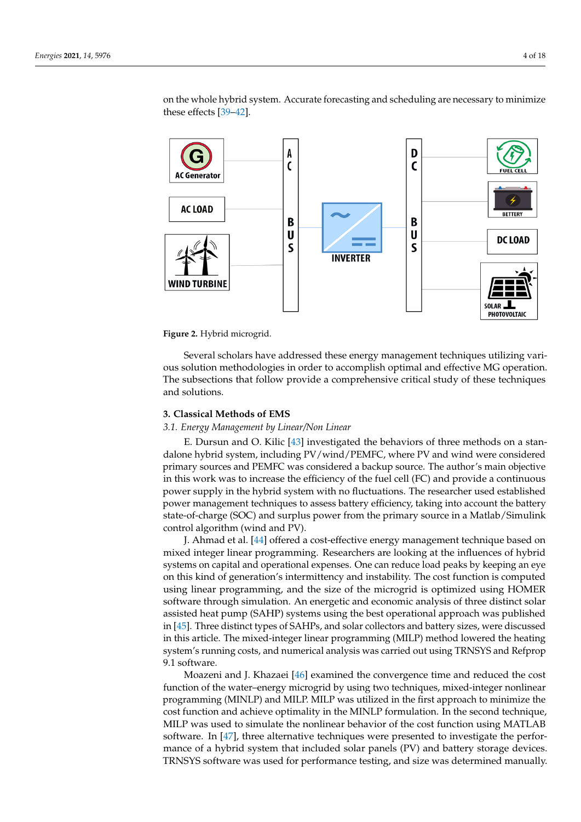on the whole hybrid system. Accurate forecasting and scheduling are necessary to minimize these effects [\[39](#page-14-15)[–42\]](#page-14-16).

<span id="page-3-0"></span>

**Figure 2.** Hybrid microgrid.

Several scholars have addressed these energy management techniques utilizing various solution methodologies in order to accomplish optimal and effective MG operation. The subsections that follow provide a comprehensive critical study of these techniques and solutions.

#### **3. Classical Methods of EMS**

#### *3.1. Energy Management by Linear/Non Linear*

E. Dursun and O. Kilic [\[43\]](#page-14-17) investigated the behaviors of three methods on a standalone hybrid system, including PV/wind/PEMFC, where PV and wind were considered primary sources and PEMFC was considered a backup source. The author's main objective in this work was to increase the efficiency of the fuel cell (FC) and provide a continuous power supply in the hybrid system with no fluctuations. The researcher used established power management techniques to assess battery efficiency, taking into account the battery state-of-charge (SOC) and surplus power from the primary source in a Matlab/Simulink control algorithm (wind and PV).

J. Ahmad et al. [\[44\]](#page-15-0) offered a cost-effective energy management technique based on mixed integer linear programming. Researchers are looking at the influences of hybrid systems on capital and operational expenses. One can reduce load peaks by keeping an eye on this kind of generation's intermittency and instability. The cost function is computed using linear programming, and the size of the microgrid is optimized using HOMER software through simulation. An energetic and economic analysis of three distinct solar assisted heat pump (SAHP) systems using the best operational approach was published in [\[45\]](#page-15-1). Three distinct types of SAHPs, and solar collectors and battery sizes, were discussed in this article. The mixed-integer linear programming (MILP) method lowered the heating system's running costs, and numerical analysis was carried out using TRNSYS and Refprop 9.1 software.

Moazeni and J. Khazaei [\[46\]](#page-15-2) examined the convergence time and reduced the cost function of the water–energy microgrid by using two techniques, mixed-integer nonlinear programming (MINLP) and MILP. MILP was utilized in the first approach to minimize the cost function and achieve optimality in the MINLP formulation. In the second technique, MILP was used to simulate the nonlinear behavior of the cost function using MATLAB software. In [\[47\]](#page-15-3), three alternative techniques were presented to investigate the performance of a hybrid system that included solar panels (PV) and battery storage devices. TRNSYS software was used for performance testing, and size was determined manually.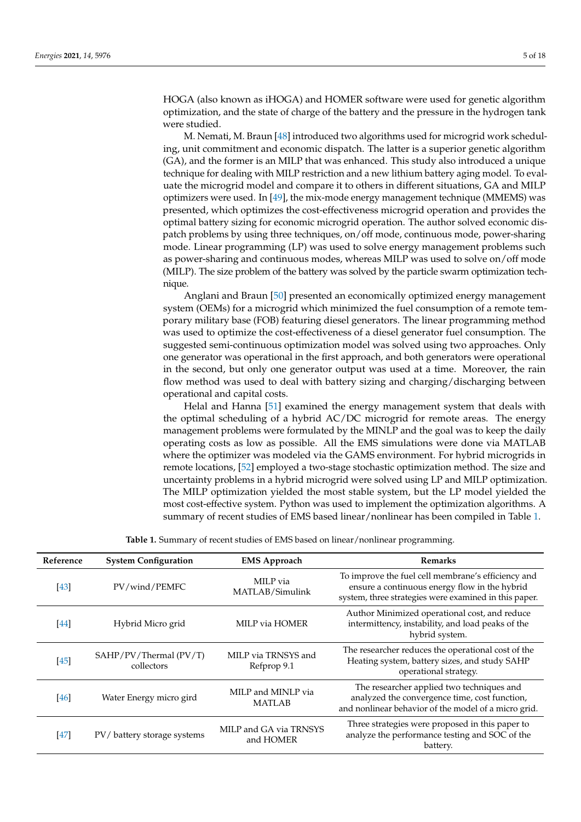HOGA (also known as iHOGA) and HOMER software were used for genetic algorithm optimization, and the state of charge of the battery and the pressure in the hydrogen tank were studied.

M. Nemati, M. Braun [\[48\]](#page-15-4) introduced two algorithms used for microgrid work scheduling, unit commitment and economic dispatch. The latter is a superior genetic algorithm (GA), and the former is an MILP that was enhanced. This study also introduced a unique technique for dealing with MILP restriction and a new lithium battery aging model. To evaluate the microgrid model and compare it to others in different situations, GA and MILP optimizers were used. In [\[49\]](#page-15-5), the mix-mode energy management technique (MMEMS) was presented, which optimizes the cost-effectiveness microgrid operation and provides the optimal battery sizing for economic microgrid operation. The author solved economic dispatch problems by using three techniques, on/off mode, continuous mode, power-sharing mode. Linear programming (LP) was used to solve energy management problems such as power-sharing and continuous modes, whereas MILP was used to solve on/off mode (MILP). The size problem of the battery was solved by the particle swarm optimization technique.

Anglani and Braun [\[50\]](#page-15-6) presented an economically optimized energy management system (OEMs) for a microgrid which minimized the fuel consumption of a remote temporary military base (FOB) featuring diesel generators. The linear programming method was used to optimize the cost-effectiveness of a diesel generator fuel consumption. The suggested semi-continuous optimization model was solved using two approaches. Only one generator was operational in the first approach, and both generators were operational in the second, but only one generator output was used at a time. Moreover, the rain flow method was used to deal with battery sizing and charging/discharging between operational and capital costs.

Helal and Hanna [\[51\]](#page-15-7) examined the energy management system that deals with the optimal scheduling of a hybrid AC/DC microgrid for remote areas. The energy management problems were formulated by the MINLP and the goal was to keep the daily operating costs as low as possible. All the EMS simulations were done via MATLAB where the optimizer was modeled via the GAMS environment. For hybrid microgrids in remote locations, [\[52\]](#page-15-8) employed a two-stage stochastic optimization method. The size and uncertainty problems in a hybrid microgrid were solved using LP and MILP optimization. The MILP optimization yielded the most stable system, but the LP model yielded the most cost-effective system. Python was used to implement the optimization algorithms. A summary of recent studies of EMS based linear/nonlinear has been compiled in Table [1.](#page-5-0)

| Reference | <b>System Configuration</b>          | <b>EMS</b> Approach                 | <b>Remarks</b>                                                                                                                                               |
|-----------|--------------------------------------|-------------------------------------|--------------------------------------------------------------------------------------------------------------------------------------------------------------|
| $[43]$    | PV/wind/PEMFC                        | MILP via<br>MATLAB/Simulink         | To improve the fuel cell membrane's efficiency and<br>ensure a continuous energy flow in the hybrid<br>system, three strategies were examined in this paper. |
| [44]      | Hybrid Micro grid                    | MILP via HOMER                      | Author Minimized operational cost, and reduce<br>intermittency, instability, and load peaks of the<br>hybrid system.                                         |
| $[45]$    | SAHP/PV/Thermal (PV/T)<br>collectors | MILP via TRNSYS and<br>Refprop 9.1  | The researcher reduces the operational cost of the<br>Heating system, battery sizes, and study SAHP<br>operational strategy.                                 |
| $[46]$    | Water Energy micro gird              | MILP and MINLP via<br><b>MATLAB</b> | The researcher applied two techniques and<br>analyzed the convergence time, cost function,<br>and nonlinear behavior of the model of a micro grid.           |
| [47]      | PV/battery storage systems           | MILP and GA via TRNSYS<br>and HOMER | Three strategies were proposed in this paper to<br>analyze the performance testing and SOC of the<br>battery.                                                |

**Table 1.** Summary of recent studies of EMS based on linear/nonlinear programming.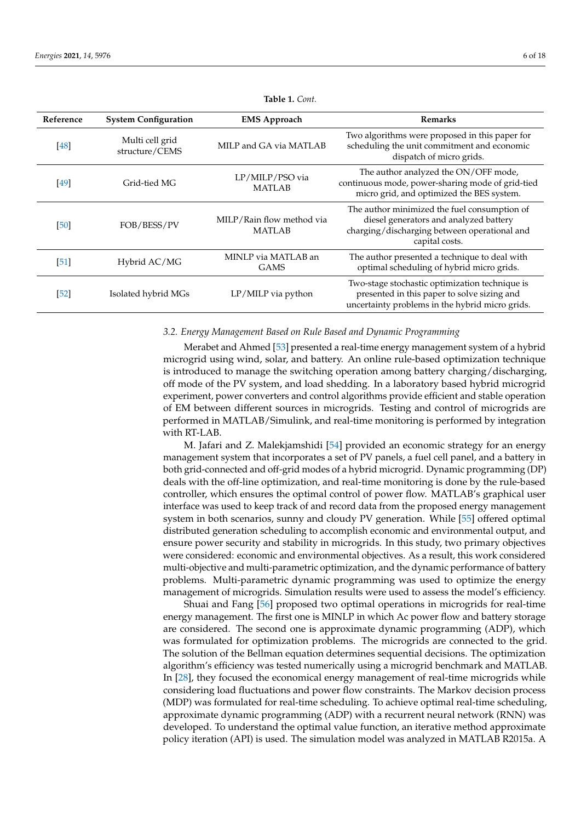<span id="page-5-0"></span>

| Reference | <b>System Configuration</b>       | <b>EMS Approach</b>                        | <b>Remarks</b>                                                                                                                                           |
|-----------|-----------------------------------|--------------------------------------------|----------------------------------------------------------------------------------------------------------------------------------------------------------|
| [48]      | Multi cell grid<br>structure/CEMS | MILP and GA via MATLAB                     | Two algorithms were proposed in this paper for<br>scheduling the unit commitment and economic<br>dispatch of micro grids.                                |
| [49]      | Grid-tied MG                      | LP/MILP/PSO via<br><b>MATLAB</b>           | The author analyzed the ON/OFF mode,<br>continuous mode, power-sharing mode of grid-tied<br>micro grid, and optimized the BES system.                    |
| [50]      | FOB/BESS/PV                       | MILP/Rain flow method via<br><b>MATLAB</b> | The author minimized the fuel consumption of<br>diesel generators and analyzed battery<br>charging/discharging between operational and<br>capital costs. |
| [51]      | Hybrid AC/MG                      | MINLP via MATLAB an<br><b>GAMS</b>         | The author presented a technique to deal with<br>optimal scheduling of hybrid micro grids.                                                               |
| [52]      | Isolated hybrid MGs               | LP/MILP via python                         | Two-stage stochastic optimization technique is<br>presented in this paper to solve sizing and<br>uncertainty problems in the hybrid micro grids.         |

**Table 1.** *Cont.*

#### *3.2. Energy Management Based on Rule Based and Dynamic Programming*

Merabet and Ahmed [\[53\]](#page-15-9) presented a real-time energy management system of a hybrid microgrid using wind, solar, and battery. An online rule-based optimization technique is introduced to manage the switching operation among battery charging/discharging, off mode of the PV system, and load shedding. In a laboratory based hybrid microgrid experiment, power converters and control algorithms provide efficient and stable operation of EM between different sources in microgrids. Testing and control of microgrids are performed in MATLAB/Simulink, and real-time monitoring is performed by integration with RT-LAB.

M. Jafari and Z. Malekjamshidi [\[54\]](#page-15-10) provided an economic strategy for an energy management system that incorporates a set of PV panels, a fuel cell panel, and a battery in both grid-connected and off-grid modes of a hybrid microgrid. Dynamic programming (DP) deals with the off-line optimization, and real-time monitoring is done by the rule-based controller, which ensures the optimal control of power flow. MATLAB's graphical user interface was used to keep track of and record data from the proposed energy management system in both scenarios, sunny and cloudy PV generation. While [\[55\]](#page-15-11) offered optimal distributed generation scheduling to accomplish economic and environmental output, and ensure power security and stability in microgrids. In this study, two primary objectives were considered: economic and environmental objectives. As a result, this work considered multi-objective and multi-parametric optimization, and the dynamic performance of battery problems. Multi-parametric dynamic programming was used to optimize the energy management of microgrids. Simulation results were used to assess the model's efficiency.

Shuai and Fang [\[56\]](#page-15-12) proposed two optimal operations in microgrids for real-time energy management. The first one is MINLP in which Ac power flow and battery storage are considered. The second one is approximate dynamic programming (ADP), which was formulated for optimization problems. The microgrids are connected to the grid. The solution of the Bellman equation determines sequential decisions. The optimization algorithm's efficiency was tested numerically using a microgrid benchmark and MATLAB. In [\[28\]](#page-14-8), they focused the economical energy management of real-time microgrids while considering load fluctuations and power flow constraints. The Markov decision process (MDP) was formulated for real-time scheduling. To achieve optimal real-time scheduling, approximate dynamic programming (ADP) with a recurrent neural network (RNN) was developed. To understand the optimal value function, an iterative method approximate policy iteration (API) is used. The simulation model was analyzed in MATLAB R2015a. A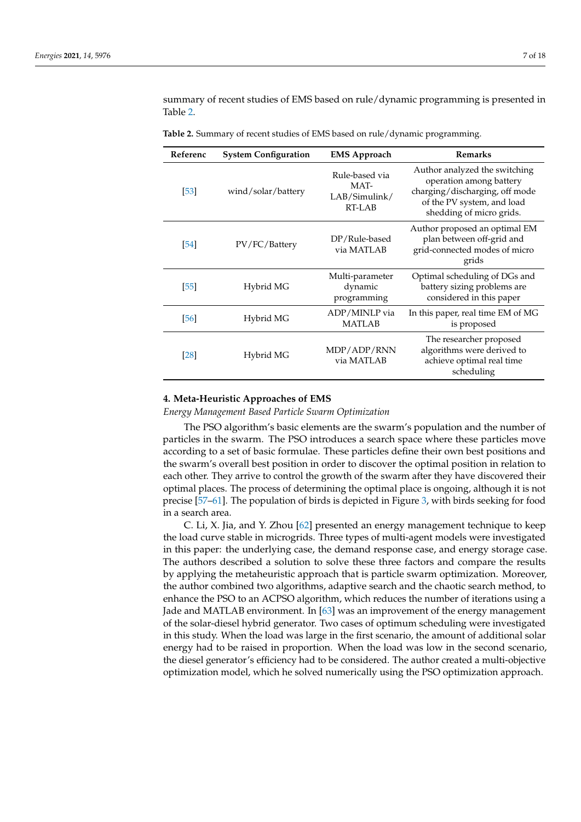summary of recent studies of EMS based on rule/dynamic programming is presented in Table [2.](#page-6-0)

| Referenc           | <b>System Configuration</b> | <b>EMS Approach</b>                               | <b>Remarks</b>                                                                                                                                       |
|--------------------|-----------------------------|---------------------------------------------------|------------------------------------------------------------------------------------------------------------------------------------------------------|
| [53]               | wind/solar/battery          | Rule-based via<br>MAT-<br>LAB/Simulink/<br>RT-LAB | Author analyzed the switching<br>operation among battery<br>charging/discharging, off mode<br>of the PV system, and load<br>shedding of micro grids. |
| [54]               | PV/FC/Battery               | DP/Rule-based<br>via MATLAB                       | Author proposed an optimal EM<br>plan between off-grid and<br>grid-connected modes of micro<br>grids                                                 |
| [55]               | Hybrid MG                   | Multi-parameter<br>dynamic<br>programming         | Optimal scheduling of DGs and<br>battery sizing problems are<br>considered in this paper                                                             |
| [56]               | Hybrid MG                   | ADP/MINLP via<br><b>MATLAB</b>                    | In this paper, real time EM of MG<br>is proposed                                                                                                     |
| $\lceil 28 \rceil$ | Hybrid MG                   | MDP/ADP/RNN<br>via MATLAB                         | The researcher proposed<br>algorithms were derived to<br>achieve optimal real time<br>scheduling                                                     |

<span id="page-6-0"></span>**Table 2.** Summary of recent studies of EMS based on rule/dynamic programming.

#### **4. Meta-Heuristic Approaches of EMS**

*Energy Management Based Particle Swarm Optimization*

The PSO algorithm's basic elements are the swarm's population and the number of particles in the swarm. The PSO introduces a search space where these particles move according to a set of basic formulae. These particles define their own best positions and the swarm's overall best position in order to discover the optimal position in relation to each other. They arrive to control the growth of the swarm after they have discovered their optimal places. The process of determining the optimal place is ongoing, although it is not precise [\[57–](#page-15-13)[61\]](#page-15-14). The population of birds is depicted in Figure [3,](#page-7-0) with birds seeking for food in a search area.

C. Li, X. Jia, and Y. Zhou [\[62\]](#page-15-15) presented an energy management technique to keep the load curve stable in microgrids. Three types of multi-agent models were investigated in this paper: the underlying case, the demand response case, and energy storage case. The authors described a solution to solve these three factors and compare the results by applying the metaheuristic approach that is particle swarm optimization. Moreover, the author combined two algorithms, adaptive search and the chaotic search method, to enhance the PSO to an ACPSO algorithm, which reduces the number of iterations using a Jade and MATLAB environment. In [\[63\]](#page-15-16) was an improvement of the energy management of the solar-diesel hybrid generator. Two cases of optimum scheduling were investigated in this study. When the load was large in the first scenario, the amount of additional solar energy had to be raised in proportion. When the load was low in the second scenario, the diesel generator's efficiency had to be considered. The author created a multi-objective optimization model, which he solved numerically using the PSO optimization approach.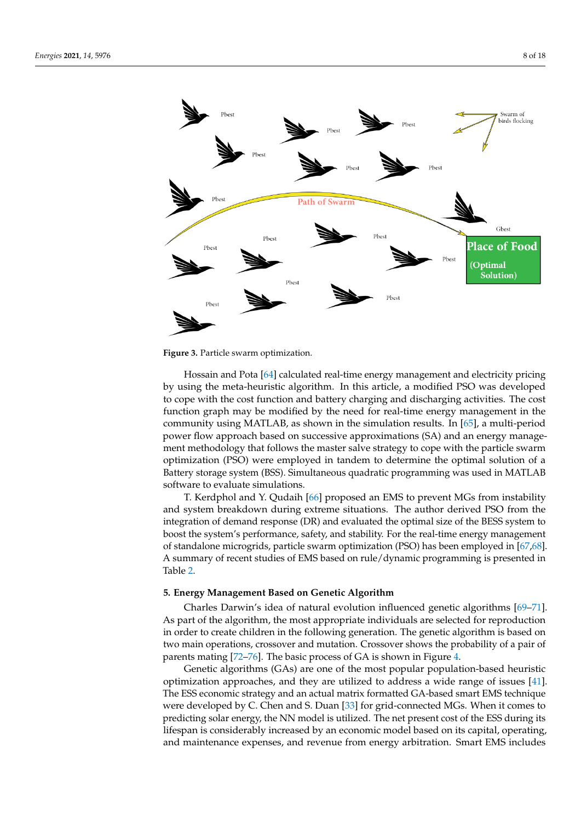<span id="page-7-0"></span>

**Figure 3.** Particle swarm optimization.

Hossain and Pota [\[64\]](#page-15-17) calculated real-time energy management and electricity pricing by using the meta-heuristic algorithm. In this article, a modified PSO was developed to cope with the cost function and battery charging and discharging activities. The cost function graph may be modified by the need for real-time energy management in the community using MATLAB, as shown in the simulation results. In [\[65\]](#page-15-18), a multi-period power flow approach based on successive approximations (SA) and an energy management methodology that follows the master salve strategy to cope with the particle swarm optimization (PSO) were employed in tandem to determine the optimal solution of a Battery storage system (BSS). Simultaneous quadratic programming was used in MATLAB software to evaluate simulations.

T. Kerdphol and Y. Qudaih [\[66\]](#page-15-19) proposed an EMS to prevent MGs from instability and system breakdown during extreme situations. The author derived PSO from the integration of demand response (DR) and evaluated the optimal size of the BESS system to boost the system's performance, safety, and stability. For the real-time energy management of standalone microgrids, particle swarm optimization (PSO) has been employed in [\[67](#page-15-20)[,68\]](#page-15-21). A summary of recent studies of EMS based on rule/dynamic programming is presented in Table [2.](#page-6-0)

#### **5. Energy Management Based on Genetic Algorithm**

Charles Darwin's idea of natural evolution influenced genetic algorithms [\[69](#page-15-22)[–71\]](#page-16-0). As part of the algorithm, the most appropriate individuals are selected for reproduction in order to create children in the following generation. The genetic algorithm is based on two main operations, crossover and mutation. Crossover shows the probability of a pair of parents mating [\[72](#page-16-1)[–76\]](#page-16-2). The basic process of GA is shown in Figure [4.](#page-8-0)

Genetic algorithms (GAs) are one of the most popular population-based heuristic optimization approaches, and they are utilized to address a wide range of issues [\[41\]](#page-14-18). The ESS economic strategy and an actual matrix formatted GA-based smart EMS technique were developed by C. Chen and S. Duan [\[33\]](#page-14-19) for grid-connected MGs. When it comes to predicting solar energy, the NN model is utilized. The net present cost of the ESS during its lifespan is considerably increased by an economic model based on its capital, operating, and maintenance expenses, and revenue from energy arbitration. Smart EMS includes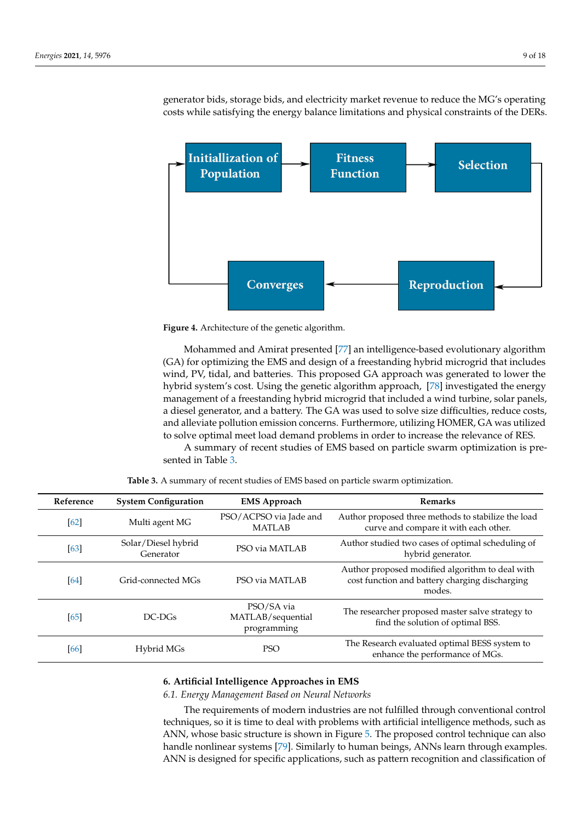generator bids, storage bids, and electricity market revenue to reduce the MG's operating costs while satisfying the energy balance limitations and physical constraints of the DERs.

<span id="page-8-0"></span>



Mohammed and Amirat presented [\[77\]](#page-16-3) an intelligence-based evolutionary algorithm (GA) for optimizing the EMS and design of a freestanding hybrid microgrid that includes wind, PV, tidal, and batteries. This proposed GA approach was generated to lower the hybrid system's cost. Using the genetic algorithm approach, [\[78\]](#page-16-4) investigated the energy management of a freestanding hybrid microgrid that included a wind turbine, solar panels, a diesel generator, and a battery. The GA was used to solve size difficulties, reduce costs, and alleviate pollution emission concerns. Furthermore, utilizing HOMER, GA was utilized to solve optimal meet load demand problems in order to increase the relevance of RES.

A summary of recent studies of EMS based on particle swarm optimization is presented in Table [3.](#page-8-1)

<span id="page-8-1"></span>

| Reference | <b>System Configuration</b>      | <b>EMS Approach</b>                            | <b>Remarks</b>                                                                                              |
|-----------|----------------------------------|------------------------------------------------|-------------------------------------------------------------------------------------------------------------|
| [62]      | Multi agent MG                   | PSO/ACPSO via Jade and<br><b>MATLAB</b>        | Author proposed three methods to stabilize the load<br>curve and compare it with each other.                |
| [63]      | Solar/Diesel hybrid<br>Generator | PSO via MATLAB                                 | Author studied two cases of optimal scheduling of<br>hybrid generator.                                      |
| [64]      | Grid-connected MGs               | PSO via MATLAB                                 | Author proposed modified algorithm to deal with<br>cost function and battery charging discharging<br>modes. |
| [65]      | $DC-DGs$                         | PSO/SA via<br>MATLAB/sequential<br>programming | The researcher proposed master salve strategy to<br>find the solution of optimal BSS.                       |
| [66]      | Hybrid MGs                       | <b>PSO</b>                                     | The Research evaluated optimal BESS system to<br>enhance the performance of MGs.                            |

**Table 3.** A summary of recent studies of EMS based on particle swarm optimization.

## **6. Artificial Intelligence Approaches in EMS**

*6.1. Energy Management Based on Neural Networks*

The requirements of modern industries are not fulfilled through conventional control techniques, so it is time to deal with problems with artificial intelligence methods, such as ANN, whose basic structure is shown in Figure [5.](#page-9-0) The proposed control technique can also handle nonlinear systems [\[79\]](#page-16-5). Similarly to human beings, ANNs learn through examples. ANN is designed for specific applications, such as pattern recognition and classification of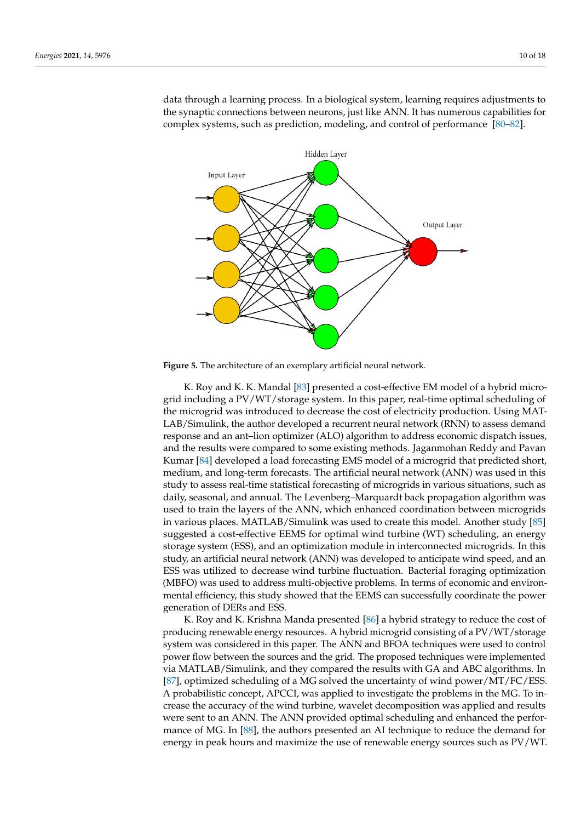data through a learning process. In a biological system, learning requires adjustments to the synaptic connections between neurons, just like ANN. It has numerous capabilities for complex systems, such as prediction, modeling, and control of performance [\[80–](#page-16-6)[82\]](#page-16-7).

<span id="page-9-0"></span>

**Figure 5.** The architecture of an exemplary artificial neural network.

K. Roy and K. K. Mandal [\[83\]](#page-16-8) presented a cost-effective EM model of a hybrid microgrid including a PV/WT/storage system. In this paper, real-time optimal scheduling of the microgrid was introduced to decrease the cost of electricity production. Using MAT-LAB/Simulink, the author developed a recurrent neural network (RNN) to assess demand response and an ant–lion optimizer (ALO) algorithm to address economic dispatch issues, and the results were compared to some existing methods. Jaganmohan Reddy and Pavan Kumar [\[84\]](#page-16-9) developed a load forecasting EMS model of a microgrid that predicted short, medium, and long-term forecasts. The artificial neural network (ANN) was used in this study to assess real-time statistical forecasting of microgrids in various situations, such as daily, seasonal, and annual. The Levenberg–Marquardt back propagation algorithm was used to train the layers of the ANN, which enhanced coordination between microgrids in various places. MATLAB/Simulink was used to create this model. Another study [\[85\]](#page-16-10) suggested a cost-effective EEMS for optimal wind turbine (WT) scheduling, an energy storage system (ESS), and an optimization module in interconnected microgrids. In this study, an artificial neural network (ANN) was developed to anticipate wind speed, and an ESS was utilized to decrease wind turbine fluctuation. Bacterial foraging optimization (MBFO) was used to address multi-objective problems. In terms of economic and environmental efficiency, this study showed that the EEMS can successfully coordinate the power generation of DERs and ESS.

K. Roy and K. Krishna Manda presented [\[86\]](#page-16-11) a hybrid strategy to reduce the cost of producing renewable energy resources. A hybrid microgrid consisting of a PV/WT/storage system was considered in this paper. The ANN and BFOA techniques were used to control power flow between the sources and the grid. The proposed techniques were implemented via MATLAB/Simulink, and they compared the results with GA and ABC algorithms. In [\[87\]](#page-16-12), optimized scheduling of a MG solved the uncertainty of wind power/MT/FC/ESS. A probabilistic concept, APCCI, was applied to investigate the problems in the MG. To increase the accuracy of the wind turbine, wavelet decomposition was applied and results were sent to an ANN. The ANN provided optimal scheduling and enhanced the performance of MG. In [\[88\]](#page-16-13), the authors presented an AI technique to reduce the demand for energy in peak hours and maximize the use of renewable energy sources such as PV/WT.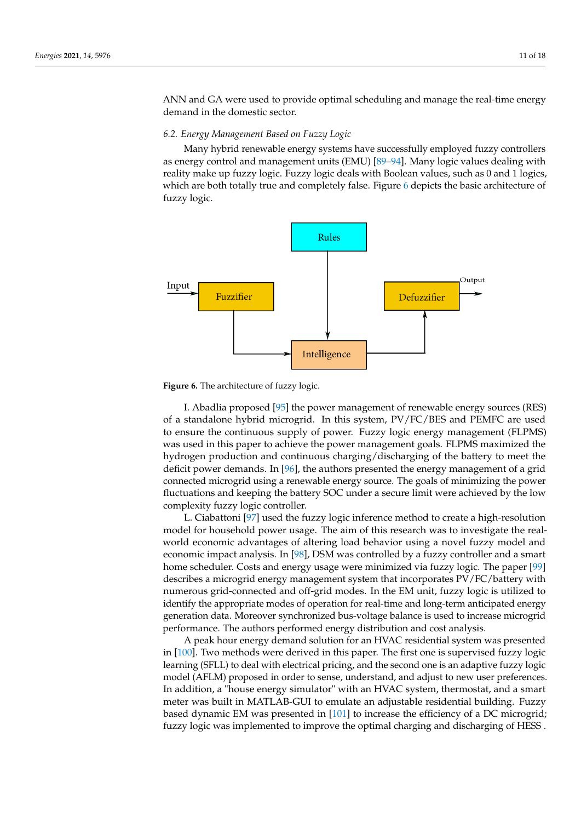ANN and GA were used to provide optimal scheduling and manage the real-time energy demand in the domestic sector.

#### *6.2. Energy Management Based on Fuzzy Logic*

Many hybrid renewable energy systems have successfully employed fuzzy controllers as energy control and management units (EMU) [\[89–](#page-16-14)[94\]](#page-16-15). Many logic values dealing with reality make up fuzzy logic. Fuzzy logic deals with Boolean values, such as 0 and 1 logics, which are both totally true and completely false. Figure [6](#page-10-0) depicts the basic architecture of fuzzy logic.

<span id="page-10-0"></span>

**Figure 6.** The architecture of fuzzy logic.

I. Abadlia proposed [\[95\]](#page-17-0) the power management of renewable energy sources (RES) of a standalone hybrid microgrid. In this system, PV/FC/BES and PEMFC are used to ensure the continuous supply of power. Fuzzy logic energy management (FLPMS) was used in this paper to achieve the power management goals. FLPMS maximized the hydrogen production and continuous charging/discharging of the battery to meet the deficit power demands. In [\[96\]](#page-17-1), the authors presented the energy management of a grid connected microgrid using a renewable energy source. The goals of minimizing the power fluctuations and keeping the battery SOC under a secure limit were achieved by the low complexity fuzzy logic controller.

L. Ciabattoni [\[97\]](#page-17-2) used the fuzzy logic inference method to create a high-resolution model for household power usage. The aim of this research was to investigate the realworld economic advantages of altering load behavior using a novel fuzzy model and economic impact analysis. In [\[98\]](#page-17-3), DSM was controlled by a fuzzy controller and a smart home scheduler. Costs and energy usage were minimized via fuzzy logic. The paper [\[99\]](#page-17-4) describes a microgrid energy management system that incorporates PV/FC/battery with numerous grid-connected and off-grid modes. In the EM unit, fuzzy logic is utilized to identify the appropriate modes of operation for real-time and long-term anticipated energy generation data. Moreover synchronized bus-voltage balance is used to increase microgrid performance. The authors performed energy distribution and cost analysis.

A peak hour energy demand solution for an HVAC residential system was presented in [\[100\]](#page-17-5). Two methods were derived in this paper. The first one is supervised fuzzy logic learning (SFLL) to deal with electrical pricing, and the second one is an adaptive fuzzy logic model (AFLM) proposed in order to sense, understand, and adjust to new user preferences. In addition, a "house energy simulator" with an HVAC system, thermostat, and a smart meter was built in MATLAB-GUI to emulate an adjustable residential building. Fuzzy based dynamic EM was presented in [\[101\]](#page-17-6) to increase the efficiency of a DC microgrid; fuzzy logic was implemented to improve the optimal charging and discharging of HESS .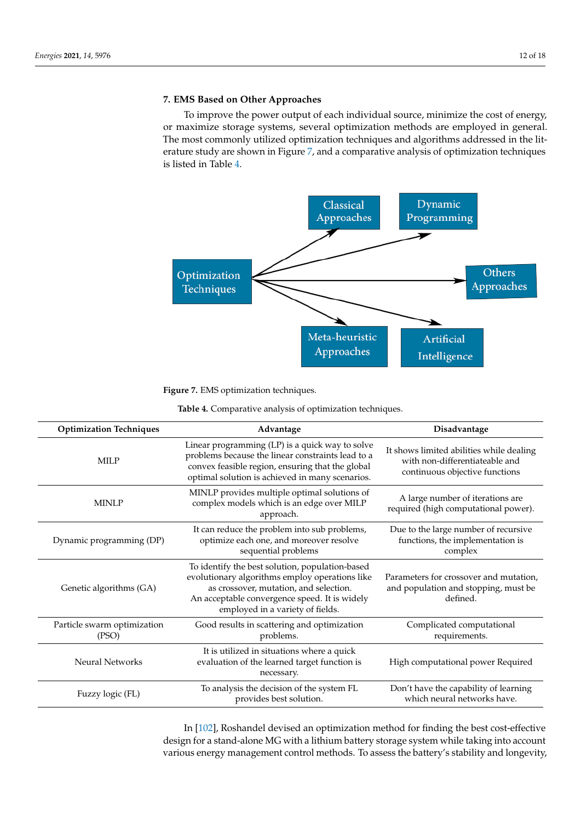## **7. EMS Based on Other Approaches**

To improve the power output of each individual source, minimize the cost of energy, or maximize storage systems, several optimization methods are employed in general. The most commonly utilized optimization techniques and algorithms addressed in the literature study are shown in Figure [7,](#page-11-0) and a comparative analysis of optimization techniques is listed in Table [4.](#page-11-1)

<span id="page-11-0"></span>

**Figure 7.** EMS optimization techniques.

**Table 4.** Comparative analysis of optimization techniques.

<span id="page-11-1"></span>

| <b>Optimization Techniques</b>       | Advantage                                                                                                                                                                                                                        | Disadvantage                                                                                                 |
|--------------------------------------|----------------------------------------------------------------------------------------------------------------------------------------------------------------------------------------------------------------------------------|--------------------------------------------------------------------------------------------------------------|
| <b>MILP</b>                          | Linear programming (LP) is a quick way to solve<br>problems because the linear constraints lead to a<br>convex feasible region, ensuring that the global<br>optimal solution is achieved in many scenarios.                      | It shows limited abilities while dealing<br>with non-differentiateable and<br>continuous objective functions |
| <b>MINLP</b>                         | MINLP provides multiple optimal solutions of<br>complex models which is an edge over MILP<br>approach.                                                                                                                           | A large number of iterations are<br>required (high computational power).                                     |
| Dynamic programming (DP)             | It can reduce the problem into sub problems,<br>optimize each one, and moreover resolve<br>sequential problems                                                                                                                   | Due to the large number of recursive<br>functions, the implementation is<br>complex                          |
| Genetic algorithms (GA)              | To identify the best solution, population-based<br>evolutionary algorithms employ operations like<br>as crossover, mutation, and selection.<br>An acceptable convergence speed. It is widely<br>employed in a variety of fields. | Parameters for crossover and mutation,<br>and population and stopping, must be<br>defined.                   |
| Particle swarm optimization<br>(PSO) | Good results in scattering and optimization<br>problems.                                                                                                                                                                         | Complicated computational<br>requirements.                                                                   |
| <b>Neural Networks</b>               | It is utilized in situations where a quick<br>evaluation of the learned target function is<br>necessary.                                                                                                                         | High computational power Required                                                                            |
| Fuzzy logic (FL)                     | To analysis the decision of the system FL<br>provides best solution.                                                                                                                                                             | Don't have the capability of learning<br>which neural networks have.                                         |

In [\[102\]](#page-17-7), Roshandel devised an optimization method for finding the best cost-effective design for a stand-alone MG with a lithium battery storage system while taking into account various energy management control methods. To assess the battery's stability and longevity,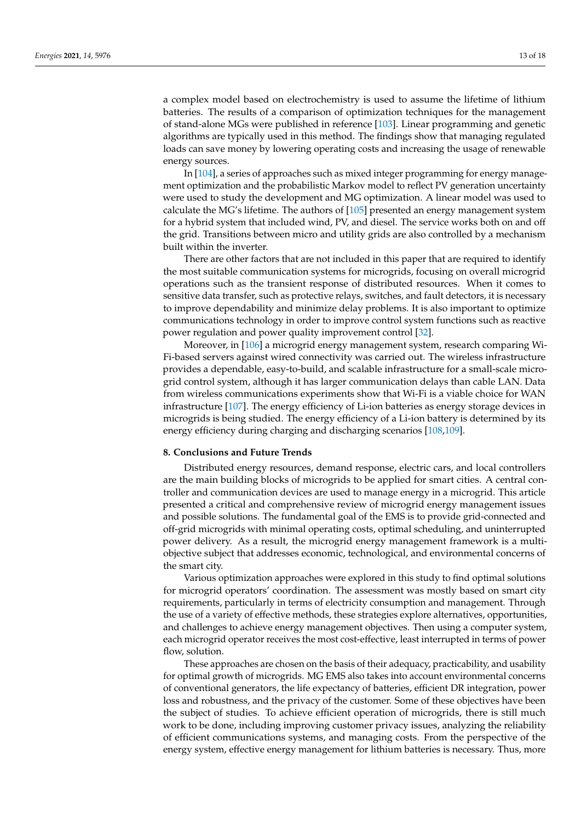a complex model based on electrochemistry is used to assume the lifetime of lithium batteries. The results of a comparison of optimization techniques for the management of stand-alone MGs were published in reference [\[103\]](#page-17-8). Linear programming and genetic algorithms are typically used in this method. The findings show that managing regulated loads can save money by lowering operating costs and increasing the usage of renewable energy sources.

In [\[104\]](#page-17-9), a series of approaches such as mixed integer programming for energy management optimization and the probabilistic Markov model to reflect PV generation uncertainty were used to study the development and MG optimization. A linear model was used to calculate the MG's lifetime. The authors of [\[105\]](#page-17-10) presented an energy management system for a hybrid system that included wind, PV, and diesel. The service works both on and off the grid. Transitions between micro and utility grids are also controlled by a mechanism built within the inverter.

There are other factors that are not included in this paper that are required to identify the most suitable communication systems for microgrids, focusing on overall microgrid operations such as the transient response of distributed resources. When it comes to sensitive data transfer, such as protective relays, switches, and fault detectors, it is necessary to improve dependability and minimize delay problems. It is also important to optimize communications technology in order to improve control system functions such as reactive power regulation and power quality improvement control [\[32\]](#page-14-11).

Moreover, in [\[106\]](#page-17-11) a microgrid energy management system, research comparing Wi-Fi-based servers against wired connectivity was carried out. The wireless infrastructure provides a dependable, easy-to-build, and scalable infrastructure for a small-scale microgrid control system, although it has larger communication delays than cable LAN. Data from wireless communications experiments show that Wi-Fi is a viable choice for WAN infrastructure [\[107\]](#page-17-12). The energy efficiency of Li-ion batteries as energy storage devices in microgrids is being studied. The energy efficiency of a Li-ion battery is determined by its energy efficiency during charging and discharging scenarios [\[108](#page-17-13)[,109\]](#page-17-14).

## **8. Conclusions and Future Trends**

Distributed energy resources, demand response, electric cars, and local controllers are the main building blocks of microgrids to be applied for smart cities. A central controller and communication devices are used to manage energy in a microgrid. This article presented a critical and comprehensive review of microgrid energy management issues and possible solutions. The fundamental goal of the EMS is to provide grid-connected and off-grid microgrids with minimal operating costs, optimal scheduling, and uninterrupted power delivery. As a result, the microgrid energy management framework is a multiobjective subject that addresses economic, technological, and environmental concerns of the smart city.

Various optimization approaches were explored in this study to find optimal solutions for microgrid operators' coordination. The assessment was mostly based on smart city requirements, particularly in terms of electricity consumption and management. Through the use of a variety of effective methods, these strategies explore alternatives, opportunities, and challenges to achieve energy management objectives. Then using a computer system, each microgrid operator receives the most cost-effective, least interrupted in terms of power flow, solution.

These approaches are chosen on the basis of their adequacy, practicability, and usability for optimal growth of microgrids. MG EMS also takes into account environmental concerns of conventional generators, the life expectancy of batteries, efficient DR integration, power loss and robustness, and the privacy of the customer. Some of these objectives have been the subject of studies. To achieve efficient operation of microgrids, there is still much work to be done, including improving customer privacy issues, analyzing the reliability of efficient communications systems, and managing costs. From the perspective of the energy system, effective energy management for lithium batteries is necessary. Thus, more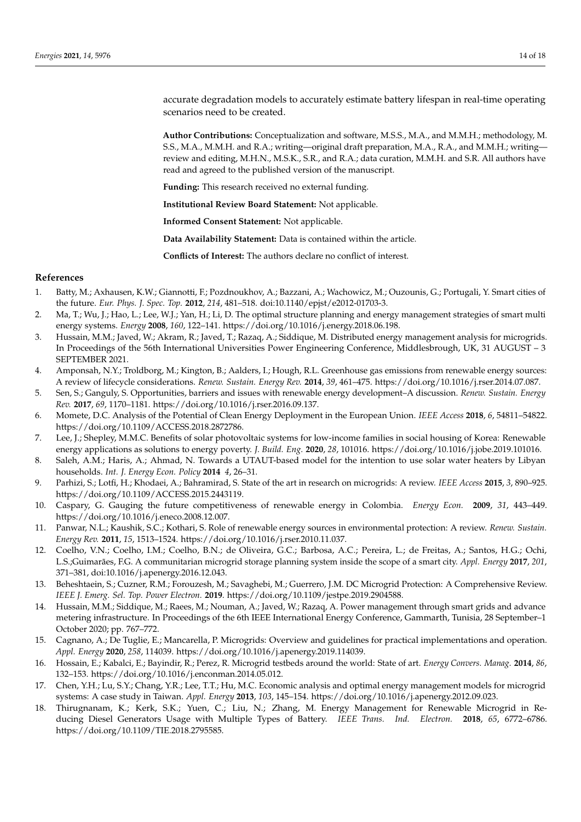accurate degradation models to accurately estimate battery lifespan in real-time operating scenarios need to be created.

**Author Contributions:** Conceptualization and software, M.S.S., M.A., and M.M.H.; methodology, M. S.S., M.A., M.M.H. and R.A.; writing—original draft preparation, M.A., R.A., and M.M.H.; writing review and editing, M.H.N., M.S.K., S.R., and R.A.; data curation, M.M.H. and S.R. All authors have read and agreed to the published version of the manuscript.

**Funding:** This research received no external funding.

**Institutional Review Board Statement:** Not applicable.

**Informed Consent Statement:** Not applicable.

**Data Availability Statement:** Data is contained within the article.

**Conflicts of Interest:** The authors declare no conflict of interest.

#### **References**

- <span id="page-13-0"></span>1. Batty, M.; Axhausen, K.W.; Giannotti, F.; Pozdnoukhov, A.; Bazzani, A.; Wachowicz, M.; Ouzounis, G.; Portugali, Y. Smart cities of the future. *Eur. Phys. J. Spec. Top.* **2012**, *214*, 481–518. doi:10.1140/epjst/e2012-01703-3.
- <span id="page-13-1"></span>2. Ma, T.; Wu, J.; Hao, L.; Lee, W.J.; Yan, H.; Li, D. The optimal structure planning and energy management strategies of smart multi energy systems. *Energy* **2008**, *160*, 122–141. https://doi.org/10.1016/j.energy.2018.06.198.
- 3. Hussain, M.M.; Javed, W.; Akram, R.; Javed, T.; Razaq, A.; Siddique, M. Distributed energy management analysis for microgrids. In Proceedings of the 56th International Universities Power Engineering Conference, Middlesbrough, UK, 31 AUGUST – 3 SEPTEMBER 2021.
- 4. Amponsah, N.Y.; Troldborg, M.; Kington, B.; Aalders, I.; Hough, R.L. Greenhouse gas emissions from renewable energy sources: A review of lifecycle considerations. *Renew. Sustain. Energy Rev.* **2014**, *39*, 461–475. https://doi.org/10.1016/j.rser.2014.07.087.
- <span id="page-13-2"></span>5. Sen, S.; Ganguly, S. Opportunities, barriers and issues with renewable energy development–A discussion. *Renew. Sustain. Energy Rev.* **2017**, *69*, 1170–1181. https://doi.org/10.1016/j.rser.2016.09.137.
- <span id="page-13-3"></span>6. Momete, D.C. Analysis of the Potential of Clean Energy Deployment in the European Union. *IEEE Access* **2018**, *6*, 54811–54822. https://doi.org/10.1109/ACCESS.2018.2872786.
- <span id="page-13-4"></span>7. Lee, J.; Shepley, M.M.C. Benefits of solar photovoltaic systems for low-income families in social housing of Korea: Renewable energy applications as solutions to energy poverty. *J. Build. Eng.* **2020**, *28*, 101016. https://doi.org/10.1016/j.jobe.2019.101016.
- <span id="page-13-5"></span>8. Saleh, A.M.; Haris, A.; Ahmad, N. Towards a UTAUT-based model for the intention to use solar water heaters by Libyan households. *Int. J. Energy Econ. Policy* **2014** *4*, 26–31.
- <span id="page-13-6"></span>9. Parhizi, S.; Lotfi, H.; Khodaei, A.; Bahramirad, S. State of the art in research on microgrids: A review. *IEEE Access* **2015**, *3*, 890–925. https://doi.org/10.1109/ACCESS.2015.2443119.
- <span id="page-13-7"></span>10. Caspary, G. Gauging the future competitiveness of renewable energy in Colombia. *Energy Econ.* **2009**, *31*, 443–449. https://doi.org/10.1016/j.eneco.2008.12.007.
- <span id="page-13-8"></span>11. Panwar, N.L.; Kaushik, S.C.; Kothari, S. Role of renewable energy sources in environmental protection: A review. *Renew. Sustain. Energy Rev.* **2011**, *15*, 1513–1524. https://doi.org/10.1016/j.rser.2010.11.037.
- <span id="page-13-9"></span>12. Coelho, V.N.; Coelho, I.M.; Coelho, B.N.; de Oliveira, G.C.; Barbosa, A.C.; Pereira, L.; de Freitas, A.; Santos, H.G.; Ochi, L.S.;Guimarães, F.G. A communitarian microgrid storage planning system inside the scope of a smart city. *Appl. Energy* **2017**, *201*, 371–381, doi:10.1016/j.apenergy.2016.12.043.
- <span id="page-13-10"></span>13. Beheshtaein, S.; Cuzner, R.M.; Forouzesh, M.; Savaghebi, M.; Guerrero, J.M. DC Microgrid Protection: A Comprehensive Review. *IEEE J. Emerg. Sel. Top. Power Electron.* **2019**. https://doi.org/10.1109/jestpe.2019.2904588.
- <span id="page-13-11"></span>14. Hussain, M.M.; Siddique, M.; Raees, M.; Nouman, A.; Javed, W.; Razaq, A. Power management through smart grids and advance metering infrastructure. In Proceedings of the 6th IEEE International Energy Conference, Gammarth, Tunisia, 28 September–1 October 2020; pp. 767–772.
- <span id="page-13-12"></span>15. Cagnano, A.; De Tuglie, E.; Mancarella, P. Microgrids: Overview and guidelines for practical implementations and operation. *Appl. Energy* **2020**, *258*, 114039. https://doi.org/10.1016/j.apenergy.2019.114039.
- <span id="page-13-13"></span>16. Hossain, E.; Kabalci, E.; Bayindir, R.; Perez, R. Microgrid testbeds around the world: State of art. *Energy Convers. Manag.* **2014**, *86*, 132–153. https://doi.org/10.1016/j.enconman.2014.05.012.
- 17. Chen, Y.H.; Lu, S.Y.; Chang, Y.R.; Lee, T.T.; Hu, M.C. Economic analysis and optimal energy management models for microgrid systems: A case study in Taiwan. *Appl. Energy* **2013**, *103*, 145–154. https://doi.org/10.1016/j.apenergy.2012.09.023.
- 18. Thirugnanam, K.; Kerk, S.K.; Yuen, C.; Liu, N.; Zhang, M. Energy Management for Renewable Microgrid in Reducing Diesel Generators Usage with Multiple Types of Battery. *IEEE Trans. Ind. Electron.* **2018**, *65*, 6772–6786. https://doi.org/10.1109/TIE.2018.2795585.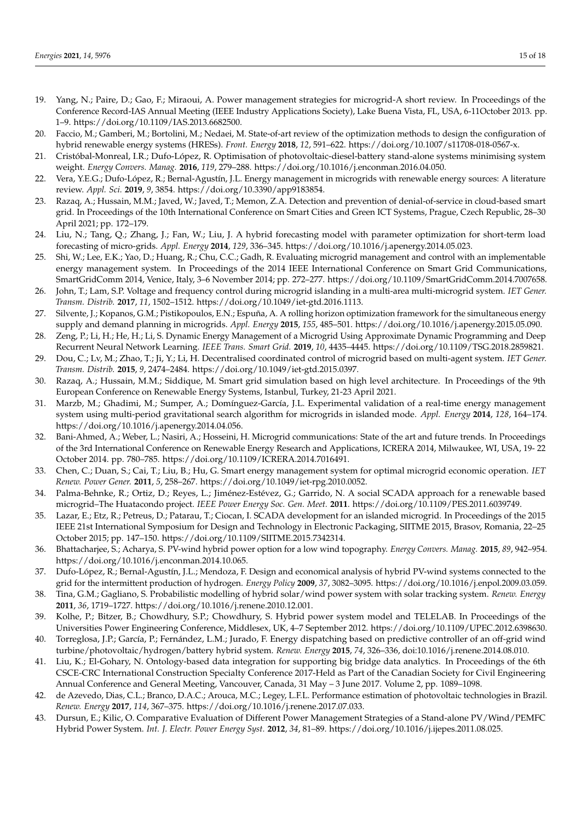- <span id="page-14-0"></span>19. Yang, N.; Paire, D.; Gao, F.; Miraoui, A. Power management strategies for microgrid-A short review. In Proceedings of the Conference Record-IAS Annual Meeting (IEEE Industry Applications Society), Lake Buena Vista, FL, USA, 6-11October 2013. pp. 1–9. https://doi.org/10.1109/IAS.2013.6682500.
- <span id="page-14-1"></span>20. Faccio, M.; Gamberi, M.; Bortolini, M.; Nedaei, M. State-of-art review of the optimization methods to design the configuration of hybrid renewable energy systems (HRESs). *Front. Energy* **2018**, *12*, 591–622. https://doi.org/10.1007/s11708-018-0567-x.
- <span id="page-14-2"></span>21. Cristóbal-Monreal, I.R.; Dufo-López, R. Optimisation of photovoltaic-diesel-battery stand-alone systems minimising system weight. *Energy Convers. Manag.* **2016**, *119*, 279–288. https://doi.org/10.1016/j.enconman.2016.04.050.
- <span id="page-14-3"></span>22. Vera, Y.E.G.; Dufo-López, R.; Bernal-Agustín, J.L. Energy management in microgrids with renewable energy sources: A literature review. *Appl. Sci.* **2019**, *9*, 3854. https://doi.org/10.3390/app9183854.
- <span id="page-14-4"></span>23. Razaq, A.; Hussain, M.M.; Javed, W.; Javed, T.; Memon, Z.A. Detection and prevention of denial-of-service in cloud-based smart grid. In Proceedings of the 10th International Conference on Smart Cities and Green ICT Systems, Prague, Czech Republic, 28–30 April 2021; pp. 172–179.
- <span id="page-14-5"></span>24. Liu, N.; Tang, Q.; Zhang, J.; Fan, W.; Liu, J. A hybrid forecasting model with parameter optimization for short-term load forecasting of micro-grids. *Appl. Energy* **2014**, *129*, 336–345. https://doi.org/10.1016/j.apenergy.2014.05.023.
- <span id="page-14-6"></span>25. Shi, W.; Lee, E.K.; Yao, D.; Huang, R.; Chu, C.C.; Gadh, R. Evaluating microgrid management and control with an implementable energy management system. In Proceedings of the 2014 IEEE International Conference on Smart Grid Communications, SmartGridComm 2014, Venice, Italy, 3–6 November 2014; pp. 272–277. https://doi.org/10.1109/SmartGridComm.2014.7007658.
- 26. John, T.; Lam, S.P. Voltage and frequency control during microgrid islanding in a multi-area multi-microgrid system. *IET Gener. Transm. Distrib.* **2017**, *11*, 1502–1512. https://doi.org/10.1049/iet-gtd.2016.1113.
- <span id="page-14-7"></span>27. Silvente, J.; Kopanos, G.M.; Pistikopoulos, E.N.; Espuña, A. A rolling horizon optimization framework for the simultaneous energy supply and demand planning in microgrids. *Appl. Energy* **2015**, *155*, 485–501. https://doi.org/10.1016/j.apenergy.2015.05.090.
- <span id="page-14-8"></span>28. Zeng, P.; Li, H.; He, H.; Li, S. Dynamic Energy Management of a Microgrid Using Approximate Dynamic Programming and Deep Recurrent Neural Network Learning. *IEEE Trans. Smart Grid.* **2019**, *10*, 4435–4445. https://doi.org/10.1109/TSG.2018.2859821.
- <span id="page-14-9"></span>29. Dou, C.; Lv, M.; Zhao, T.; Ji, Y.; Li, H. Decentralised coordinated control of microgrid based on multi-agent system. *IET Gener. Transm. Distrib.* **2015**, *9*, 2474–2484. https://doi.org/10.1049/iet-gtd.2015.0397.
- 30. Razaq, A.; Hussain, M.M.; Siddique, M. Smart grid simulation based on high level architecture. In Proceedings of the 9th European Conference on Renewable Energy Systems, Istanbul, Turkey, 21-23 April 2021.
- <span id="page-14-10"></span>31. Marzb, M.; Ghadimi, M.; Sumper, A.; Domínguez-García, J.L. Experimental validation of a real-time energy management system using multi-period gravitational search algorithm for microgrids in islanded mode. *Appl. Energy* **2014**, *128*, 164–174. https://doi.org/10.1016/j.apenergy.2014.04.056.
- <span id="page-14-11"></span>32. Bani-Ahmed, A.; Weber, L.; Nasiri, A.; Hosseini, H. Microgrid communications: State of the art and future trends. In Proceedings of the 3rd International Conference on Renewable Energy Research and Applications, ICRERA 2014, Milwaukee, WI, USA, 19- 22 October 2014. pp. 780–785. https://doi.org/10.1109/ICRERA.2014.7016491.
- <span id="page-14-19"></span>33. Chen, C.; Duan, S.; Cai, T.; Liu, B.; Hu, G. Smart energy management system for optimal microgrid economic operation. *IET Renew. Power Gener.* **2011**, *5*, 258–267. https://doi.org/10.1049/iet-rpg.2010.0052.
- 34. Palma-Behnke, R.; Ortiz, D.; Reyes, L.; Jiménez-Estévez, G.; Garrido, N. A social SCADA approach for a renewable based microgrid–The Huatacondo project. *IEEE Power Energy Soc. Gen. Meet.* **2011**. https://doi.org/10.1109/PES.2011.6039749.
- <span id="page-14-12"></span>35. Lazar, E.; Etz, R.; Petreus, D.; Patarau, T.; Ciocan, I. SCADA development for an islanded microgrid. In Proceedings of the 2015 IEEE 21st International Symposium for Design and Technology in Electronic Packaging, SIITME 2015, Brasov, Romania, 22–25 October 2015; pp. 147–150. https://doi.org/10.1109/SIITME.2015.7342314.
- <span id="page-14-13"></span>36. Bhattacharjee, S.; Acharya, S. PV-wind hybrid power option for a low wind topography. *Energy Convers. Manag.* **2015**, *89*, 942–954. https://doi.org/10.1016/j.enconman.2014.10.065.
- 37. Dufo-López, R.; Bernal-Agustín, J.L.; Mendoza, F. Design and economical analysis of hybrid PV-wind systems connected to the grid for the intermittent production of hydrogen. *Energy Policy* **2009**, *37*, 3082–3095. https://doi.org/10.1016/j.enpol.2009.03.059.
- <span id="page-14-14"></span>38. Tina, G.M.; Gagliano, S. Probabilistic modelling of hybrid solar/wind power system with solar tracking system. *Renew. Energy* **2011**, *36*, 1719–1727. https://doi.org/10.1016/j.renene.2010.12.001.
- <span id="page-14-15"></span>39. Kolhe, P.; Bitzer, B.; Chowdhury, S.P.; Chowdhury, S. Hybrid power system model and TELELAB. In Proceedings of the Universities Power Engineering Conference, Middlesex, UK, 4–7 September 2012. https://doi.org/10.1109/UPEC.2012.6398630.
- 40. Torreglosa, J.P.; García, P.; Fernández, L.M.; Jurado, F. Energy dispatching based on predictive controller of an off-grid wind turbine/photovoltaic/hydrogen/battery hybrid system. *Renew. Energy* **2015**, *74*, 326–336, doi:10.1016/j.renene.2014.08.010.
- <span id="page-14-18"></span>41. Liu, K.; El-Gohary, N. Ontology-based data integration for supporting big bridge data analytics. In Proceedings of the 6th CSCE-CRC International Construction Specialty Conference 2017-Held as Part of the Canadian Society for Civil Engineering Annual Conference and General Meeting, Vancouver, Canada, 31 May – 3 June 2017. Volume 2, pp. 1089–1098.
- <span id="page-14-16"></span>42. de Azevedo, Dias, C.L.; Branco, D.A.C.; Arouca, M.C.; Legey, L.F.L. Performance estimation of photovoltaic technologies in Brazil. *Renew. Energy* **2017**, *114*, 367–375. https://doi.org/10.1016/j.renene.2017.07.033.
- <span id="page-14-17"></span>43. Dursun, E.; Kilic, O. Comparative Evaluation of Different Power Management Strategies of a Stand-alone PV/Wind/PEMFC Hybrid Power System. *Int. J. Electr. Power Energy Syst.* **2012**, *34*, 81–89. https://doi.org/10.1016/j.ijepes.2011.08.025.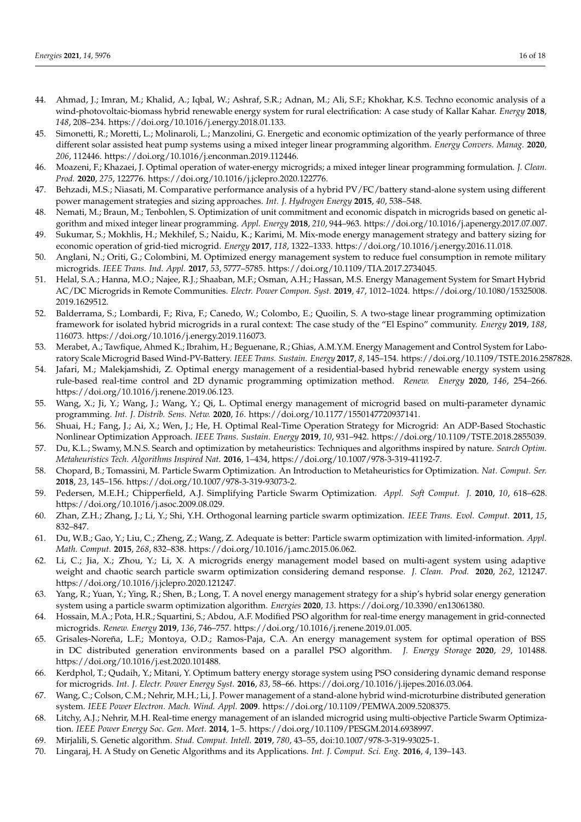- <span id="page-15-0"></span>44. Ahmad, J.; Imran, M.; Khalid, A.; Iqbal, W.; Ashraf, S.R.; Adnan, M.; Ali, S.F.; Khokhar, K.S. Techno economic analysis of a wind-photovoltaic-biomass hybrid renewable energy system for rural electrification: A case study of Kallar Kahar. *Energy* **2018**, *148*, 208–234. https://doi.org/10.1016/j.energy.2018.01.133.
- <span id="page-15-1"></span>45. Simonetti, R.; Moretti, L.; Molinaroli, L.; Manzolini, G. Energetic and economic optimization of the yearly performance of three different solar assisted heat pump systems using a mixed integer linear programming algorithm. *Energy Convers. Manag.* **2020**, *206*, 112446. https://doi.org/10.1016/j.enconman.2019.112446.
- <span id="page-15-2"></span>46. Moazeni, F.; Khazaei, J. Optimal operation of water-energy microgrids; a mixed integer linear programming formulation. *J. Clean. Prod.* **2020**, *275*, 122776. https://doi.org/10.1016/j.jclepro.2020.122776.
- <span id="page-15-3"></span>47. Behzadi, M.S.; Niasati, M. Comparative performance analysis of a hybrid PV/FC/battery stand-alone system using different power management strategies and sizing approaches. *Int. J. Hydrogen Energy* **2015**, *40*, 538–548.
- <span id="page-15-4"></span>48. Nemati, M.; Braun, M.; Tenbohlen, S. Optimization of unit commitment and economic dispatch in microgrids based on genetic algorithm and mixed integer linear programming. *Appl. Energy* **2018**, *210*, 944–963. https://doi.org/10.1016/j.apenergy.2017.07.007.
- <span id="page-15-5"></span>49. Sukumar, S.; Mokhlis, H.; Mekhilef, S.; Naidu, K.; Karimi, M. Mix-mode energy management strategy and battery sizing for economic operation of grid-tied microgrid. *Energy* **2017**, *118*, 1322–1333. https://doi.org/10.1016/j.energy.2016.11.018.
- <span id="page-15-6"></span>50. Anglani, N.; Oriti, G.; Colombini, M. Optimized energy management system to reduce fuel consumption in remote military microgrids. *IEEE Trans. Ind. Appl.* **2017**, *53*, 5777–5785. https://doi.org/10.1109/TIA.2017.2734045.
- <span id="page-15-7"></span>51. Helal, S.A.; Hanna, M.O.; Najee, R.J.; Shaaban, M.F.; Osman, A.H.; Hassan, M.S. Energy Management System for Smart Hybrid AC/DC Microgrids in Remote Communities. *Electr. Power Compon. Syst.* **2019**, *47*, 1012–1024. https://doi.org/10.1080/15325008. 2019.1629512.
- <span id="page-15-8"></span>52. Balderrama, S.; Lombardi, F.; Riva, F.; Canedo, W.; Colombo, E.; Quoilin, S. A two-stage linear programming optimization framework for isolated hybrid microgrids in a rural context: The case study of the "El Espino" community. *Energy* **2019**, *188*, 116073. https://doi.org/10.1016/j.energy.2019.116073.
- <span id="page-15-9"></span>53. Merabet, A.; Tawfique, Ahmed K.; Ibrahim, H.; Beguenane, R.; Ghias, A.M.Y.M. Energy Management and Control System for Laboratory Scale Microgrid Based Wind-PV-Battery. *IEEE Trans. Sustain. Energy* **2017**, *8*, 145–154. https://doi.org/10.1109/TSTE.2016.2587828.
- <span id="page-15-10"></span>54. Jafari, M.; Malekjamshidi, Z. Optimal energy management of a residential-based hybrid renewable energy system using rule-based real-time control and 2D dynamic programming optimization method. *Renew. Energy* **2020**, *146*, 254–266. https://doi.org/10.1016/j.renene.2019.06.123.
- <span id="page-15-11"></span>55. Wang, X.; Ji, Y.; Wang, J.; Wang, Y.; Qi, L. Optimal energy management of microgrid based on multi-parameter dynamic programming. *Int. J. Distrib. Sens. Netw.* **2020**, *16*. https://doi.org/10.1177/1550147720937141.
- <span id="page-15-12"></span>56. Shuai, H.; Fang, J.; Ai, X.; Wen, J.; He, H. Optimal Real-Time Operation Strategy for Microgrid: An ADP-Based Stochastic Nonlinear Optimization Approach. *IEEE Trans. Sustain. Energy* **2019**, *10*, 931–942. https://doi.org/10.1109/TSTE.2018.2855039.
- <span id="page-15-13"></span>57. Du, K.L.; Swamy, M.N.S. Search and optimization by metaheuristics: Techniques and algorithms inspired by nature. *Search Optim. Metaheuristics Tech. Algorithms Inspired Nat.* **2016**, 1–434, https://doi.org/10.1007/978-3-319-41192-7.
- 58. Chopard, B.; Tomassini, M. Particle Swarm Optimization. An Introduction to Metaheuristics for Optimization. *Nat. Comput. Ser.* **2018**, *23*, 145–156. https://doi.org/10.1007/978-3-319-93073-2.
- 59. Pedersen, M.E.H.; Chipperfield, A.J. Simplifying Particle Swarm Optimization. *Appl. Soft Comput. J.* **2010**, *10*, 618–628. https://doi.org/10.1016/j.asoc.2009.08.029.
- 60. Zhan, Z.H.; Zhang, J.; Li, Y.; Shi, Y.H. Orthogonal learning particle swarm optimization. *IEEE Trans. Evol. Comput.* **2011**, *15*, 832–847.
- <span id="page-15-14"></span>61. Du, W.B.; Gao, Y.; Liu, C.; Zheng, Z.; Wang, Z. Adequate is better: Particle swarm optimization with limited-information. *Appl. Math. Comput.* **2015**, *268*, 832–838. https://doi.org/10.1016/j.amc.2015.06.062.
- <span id="page-15-15"></span>62. Li, C.; Jia, X.; Zhou, Y.; Li, X. A microgrids energy management model based on multi-agent system using adaptive weight and chaotic search particle swarm optimization considering demand response. *J. Clean. Prod.* **2020**, *262*, 121247. https://doi.org/10.1016/j.jclepro.2020.121247.
- <span id="page-15-16"></span>63. Yang, R.; Yuan, Y.; Ying, R.; Shen, B.; Long, T. A novel energy management strategy for a ship's hybrid solar energy generation system using a particle swarm optimization algorithm. *Energies* **2020**, *13*. https://doi.org/10.3390/en13061380.
- <span id="page-15-17"></span>64. Hossain, M.A.; Pota, H.R.; Squartini, S.; Abdou, A.F. Modified PSO algorithm for real-time energy management in grid-connected microgrids. *Renew. Energy* **2019**, *136*, 746–757. https://doi.org/10.1016/j.renene.2019.01.005.
- <span id="page-15-18"></span>65. Grisales-Noreña, L.F.; Montoya, O.D.; Ramos-Paja, C.A. An energy management system for optimal operation of BSS in DC distributed generation environments based on a parallel PSO algorithm. *J. Energy Storage* **2020**, *29*, 101488. https://doi.org/10.1016/j.est.2020.101488.
- <span id="page-15-19"></span>66. Kerdphol, T.; Qudaih, Y.; Mitani, Y. Optimum battery energy storage system using PSO considering dynamic demand response for microgrids. *Int. J. Electr. Power Energy Syst.* **2016**, *83*, 58–66. https://doi.org/10.1016/j.ijepes.2016.03.064.
- <span id="page-15-20"></span>67. Wang, C.; Colson, C.M.; Nehrir, M.H.; Li, J. Power management of a stand-alone hybrid wind-microturbine distributed generation system. *IEEE Power Electron. Mach. Wind. Appl.* **2009**. https://doi.org/10.1109/PEMWA.2009.5208375.
- <span id="page-15-21"></span>68. Litchy, A.J.; Nehrir, M.H. Real-time energy management of an islanded microgrid using multi-objective Particle Swarm Optimization. *IEEE Power Energy Soc. Gen. Meet.* **2014**, 1–5. https://doi.org/10.1109/PESGM.2014.6938997.
- <span id="page-15-22"></span>69. Mirjalili, S. Genetic algorithm. *Stud. Comput. Intell.* **2019**, *780*, 43–55, doi:10.1007/978-3-319-93025-1.
- 70. Lingaraj, H. A Study on Genetic Algorithms and its Applications. *Int. J. Comput. Sci. Eng.* **2016**, *4*, 139–143.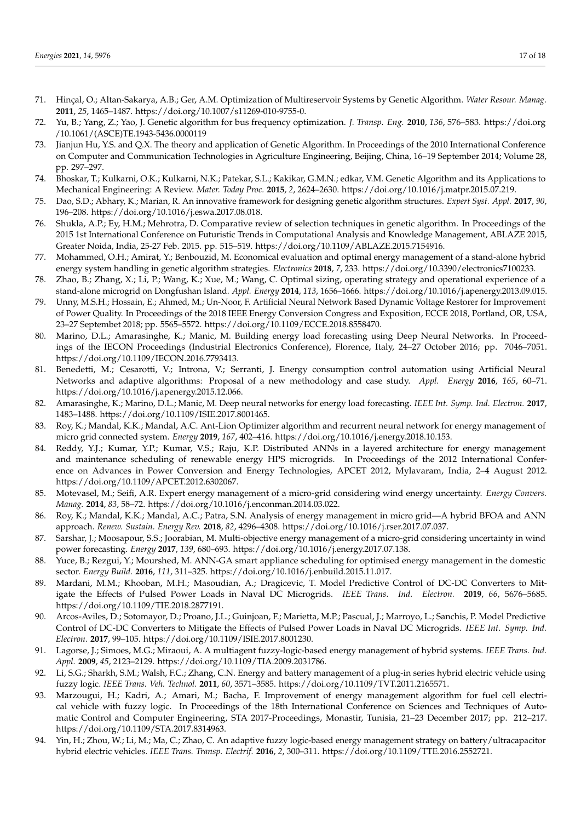- <span id="page-16-0"></span>71. Hinçal, O.; Altan-Sakarya, A.B.; Ger, A.M. Optimization of Multireservoir Systems by Genetic Algorithm. *Water Resour. Manag.* **2011**, *25*, 1465–1487. https://doi.org/10.1007/s11269-010-9755-0.
- <span id="page-16-1"></span>72. Yu, B.; Yang, Z.; Yao, J. Genetic algorithm for bus frequency optimization. *J. Transp. Eng.* **2010**, *136*, 576–583. https://doi.org /10.1061/(ASCE)TE.1943-5436.0000119
- 73. Jianjun Hu, Y.S. and Q.X. The theory and application of Genetic Algorithm. In Proceedings of the 2010 International Conference on Computer and Communication Technologies in Agriculture Engineering, Beijing, China, 16–19 September 2014; Volume 28, pp. 297–297.
- 74. Bhoskar, T.; Kulkarni, O.K.; Kulkarni, N.K.; Patekar, S.L.; Kakikar, G.M.N.; edkar, V.M. Genetic Algorithm and its Applications to Mechanical Engineering: A Review. *Mater. Today Proc.* **2015**, *2*, 2624–2630. https://doi.org/10.1016/j.matpr.2015.07.219.
- 75. Dao, S.D.; Abhary, K.; Marian, R. An innovative framework for designing genetic algorithm structures. *Expert Syst. Appl.* **2017**, *90*, 196–208. https://doi.org/10.1016/j.eswa.2017.08.018.
- <span id="page-16-2"></span>76. Shukla, A.P.; Ey, H.M.; Mehrotra, D. Comparative review of selection techniques in genetic algorithm. In Proceedings of the 2015 1st International Conference on Futuristic Trends in Computational Analysis and Knowledge Management, ABLAZE 2015, Greater Noida, India, 25-27 Feb. 2015. pp. 515–519. https://doi.org/10.1109/ABLAZE.2015.7154916.
- <span id="page-16-3"></span>77. Mohammed, O.H.; Amirat, Y.; Benbouzid, M. Economical evaluation and optimal energy management of a stand-alone hybrid energy system handling in genetic algorithm strategies. *Electronics* **2018**, *7*, 233. https://doi.org/10.3390/electronics7100233.
- <span id="page-16-4"></span>78. Zhao, B.; Zhang, X.; Li, P.; Wang, K.; Xue, M.; Wang, C. Optimal sizing, operating strategy and operational experience of a stand-alone microgrid on Dongfushan Island. *Appl. Energy* **2014**, *113*, 1656–1666. https://doi.org/10.1016/j.apenergy.2013.09.015.
- <span id="page-16-5"></span>79. Unny, M.S.H.; Hossain, E.; Ahmed, M.; Un-Noor, F. Artificial Neural Network Based Dynamic Voltage Restorer for Improvement of Power Quality. In Proceedings of the 2018 IEEE Energy Conversion Congress and Exposition, ECCE 2018, Portland, OR, USA, 23–27 Septembet 2018; pp. 5565–5572. https://doi.org/10.1109/ECCE.2018.8558470.
- <span id="page-16-6"></span>80. Marino, D.L.; Amarasinghe, K.; Manic, M. Building energy load forecasting using Deep Neural Networks. In Proceedings of the IECON Proceedings (Industrial Electronics Conference), Florence, Italy, 24–27 October 2016; pp. 7046–7051. https://doi.org/10.1109/IECON.2016.7793413.
- 81. Benedetti, M.; Cesarotti, V.; Introna, V.; Serranti, J. Energy consumption control automation using Artificial Neural Networks and adaptive algorithms: Proposal of a new methodology and case study. *Appl. Energy* **2016**, *165*, 60–71. https://doi.org/10.1016/j.apenergy.2015.12.066.
- <span id="page-16-7"></span>82. Amarasinghe, K.; Marino, D.L.; Manic, M. Deep neural networks for energy load forecasting. *IEEE Int. Symp. Ind. Electron.* **2017**, 1483–1488. https://doi.org/10.1109/ISIE.2017.8001465.
- <span id="page-16-8"></span>83. Roy, K.; Mandal, K.K.; Mandal, A.C. Ant-Lion Optimizer algorithm and recurrent neural network for energy management of micro grid connected system. *Energy* **2019**, *167*, 402–416. https://doi.org/10.1016/j.energy.2018.10.153.
- <span id="page-16-9"></span>84. Reddy, Y.J.; Kumar, Y.P.; Kumar, V.S.; Raju, K.P. Distributed ANNs in a layered architecture for energy management and maintenance scheduling of renewable energy HPS microgrids. In Proceedings of the 2012 International Conference on Advances in Power Conversion and Energy Technologies, APCET 2012, Mylavaram, India, 2–4 August 2012. https://doi.org/10.1109/APCET.2012.6302067.
- <span id="page-16-10"></span>85. Motevasel, M.; Seifi, A.R. Expert energy management of a micro-grid considering wind energy uncertainty. *Energy Convers. Manag.* **2014**, *83*, 58–72. https://doi.org/10.1016/j.enconman.2014.03.022.
- <span id="page-16-11"></span>86. Roy, K.; Mandal, K.K.; Mandal, A.C.; Patra, S.N. Analysis of energy management in micro grid—A hybrid BFOA and ANN approach. *Renew. Sustain. Energy Rev.* **2018**, *82*, 4296–4308. https://doi.org/10.1016/j.rser.2017.07.037.
- <span id="page-16-12"></span>87. Sarshar, J.; Moosapour, S.S.; Joorabian, M. Multi-objective energy management of a micro-grid considering uncertainty in wind power forecasting. *Energy* **2017**, *139*, 680–693. https://doi.org/10.1016/j.energy.2017.07.138.
- <span id="page-16-13"></span>88. Yuce, B.; Rezgui, Y.; Mourshed, M. ANN-GA smart appliance scheduling for optimised energy management in the domestic sector. *Energy Build.* **2016**, *111*, 311–325. https://doi.org/10.1016/j.enbuild.2015.11.017.
- <span id="page-16-14"></span>89. Mardani, M.M.; Khooban, M.H.; Masoudian, A.; Dragicevic, T. Model Predictive Control of DC-DC Converters to Mitigate the Effects of Pulsed Power Loads in Naval DC Microgrids. *IEEE Trans. Ind. Electron.* **2019**, *66*, 5676–5685. https://doi.org/10.1109/TIE.2018.2877191.
- 90. Arcos-Aviles, D.; Sotomayor, D.; Proano, J.L.; Guinjoan, F.; Marietta, M.P.; Pascual, J.; Marroyo, L.; Sanchis, P. Model Predictive Control of DC-DC Converters to Mitigate the Effects of Pulsed Power Loads in Naval DC Microgrids. *IEEE Int. Symp. Ind. Electron.* **2017**, 99–105. https://doi.org/10.1109/ISIE.2017.8001230.
- 91. Lagorse, J.; Simoes, M.G.; Miraoui, A. A multiagent fuzzy-logic-based energy management of hybrid systems. *IEEE Trans. Ind. Appl.* **2009**, *45*, 2123–2129. https://doi.org/10.1109/TIA.2009.2031786.
- 92. Li, S.G.; Sharkh, S.M.; Walsh, F.C.; Zhang, C.N. Energy and battery management of a plug-in series hybrid electric vehicle using fuzzy logic. *IEEE Trans. Veh. Technol.* **2011**, *60*, 3571–3585. https://doi.org/10.1109/TVT.2011.2165571.
- 93. Marzougui, H.; Kadri, A.; Amari, M.; Bacha, F. Improvement of energy management algorithm for fuel cell electrical vehicle with fuzzy logic. In Proceedings of the 18th International Conference on Sciences and Techniques of Automatic Control and Computer Engineering, STA 2017-Proceedings, Monastir, Tunisia, 21–23 December 2017; pp. 212–217. https://doi.org/10.1109/STA.2017.8314963.
- <span id="page-16-15"></span>94. Yin, H.; Zhou, W.; Li, M.; Ma, C.; Zhao, C. An adaptive fuzzy logic-based energy management strategy on battery/ultracapacitor hybrid electric vehicles. *IEEE Trans. Transp. Electrif.* **2016**, *2*, 300–311. https://doi.org/10.1109/TTE.2016.2552721.